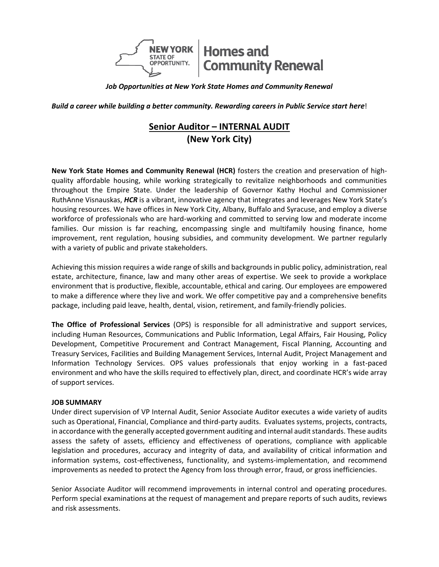

*Job Opportunities at New York State Homes and Community Renewal*

**Build a career while building a better community. Rewarding careers in Public Service start here!** 

# **Senior Auditor – INTERNAL AUDIT (New York City)**

**New York State Homes and Community Renewal (HCR)** fosters the creation and preservation of highquality affordable housing, while working strategically to revitalize neighborhoods and communities throughout the Empire State. Under the leadership of Governor Kathy Hochul and Commissioner RuthAnne Visnauskas, *HCR* is a vibrant, innovative agency that integrates and leverages New York State's housing resources. We have offices in New York City, Albany, Buffalo and Syracuse, and employ a diverse workforce of professionals who are hard-working and committed to serving low and moderate income families. Our mission is far reaching, encompassing single and multifamily housing finance, home improvement, rent regulation, housing subsidies, and community development. We partner regularly with a variety of public and private stakeholders.

Achieving this mission requires a wide range of skills and backgrounds in public policy, administration, real estate, architecture, finance, law and many other areas of expertise. We seek to provide a workplace environment that is productive, flexible, accountable, ethical and caring. Our employees are empowered to make a difference where they live and work. We offer competitive pay and a comprehensive benefits package, including paid leave, health, dental, vision, retirement, and family-friendly policies.

**The Office of Professional Services** (OPS) is responsible for all administrative and support services, including Human Resources, Communications and Public Information, Legal Affairs, Fair Housing, Policy Development, Competitive Procurement and Contract Management, Fiscal Planning, Accounting and Treasury Services, Facilities and Building Management Services, Internal Audit, Project Management and Information Technology Services. OPS values professionals that enjoy working in a fast-paced environment and who have the skills required to effectively plan, direct, and coordinate HCR's wide array of support services.

#### **JOB SUMMARY**

Under direct supervision of VP Internal Audit, Senior Associate Auditor executes a wide variety of audits such as Operational, Financial, Compliance and third-party audits. Evaluates systems, projects, contracts, in accordance with the generally accepted government auditing and internal auditstandards. These audits assess the safety of assets, efficiency and effectiveness of operations, compliance with applicable legislation and procedures, accuracy and integrity of data, and availability of critical information and information systems, cost-effectiveness, functionality, and systems-implementation, and recommend improvements as needed to protect the Agency from loss through error, fraud, or gross inefficiencies.

Senior Associate Auditor will recommend improvements in internal control and operating procedures. Perform special examinations at the request of management and prepare reports of such audits, reviews and risk assessments.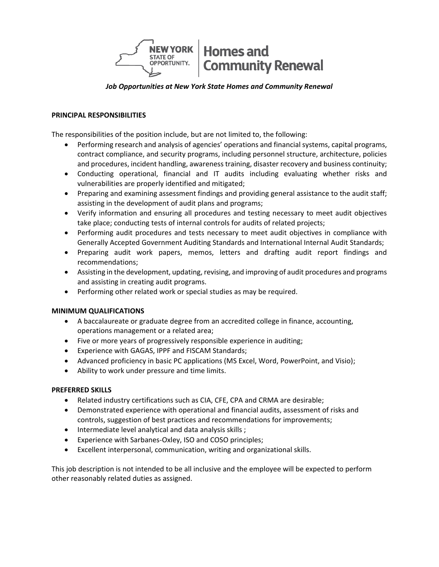

# *Job Opportunities at New York State Homes and Community Renewal*

## **PRINCIPAL RESPONSIBILITIES**

The responsibilities of the position include, but are not limited to, the following:

- Performing research and analysis of agencies' operations and financial systems, capital programs, contract compliance, and security programs, including personnel structure, architecture, policies and procedures, incident handling, awareness training, disaster recovery and business continuity;
- Conducting operational, financial and IT audits including evaluating whether risks and vulnerabilities are properly identified and mitigated;
- Preparing and examining assessment findings and providing general assistance to the audit staff; assisting in the development of audit plans and programs;
- Verify information and ensuring all procedures and testing necessary to meet audit objectives take place; conducting tests of internal controls for audits of related projects;
- Performing audit procedures and tests necessary to meet audit objectives in compliance with Generally Accepted Government Auditing Standards and International Internal Audit Standards;
- Preparing audit work papers, memos, letters and drafting audit report findings and recommendations;
- Assisting in the development, updating, revising, and improving of audit procedures and programs and assisting in creating audit programs.
- Performing other related work or special studies as may be required.

# **MINIMUM QUALIFICATIONS**

- A baccalaureate or graduate degree from an accredited college in finance, accounting, operations management or a related area;
- Five or more years of progressively responsible experience in auditing;
- Experience with GAGAS, IPPF and FISCAM Standards;
- Advanced proficiency in basic PC applications (MS Excel, Word, PowerPoint, and Visio);
- Ability to work under pressure and time limits.

# **PREFERRED SKILLS**

- Related industry certifications such as CIA, CFE, CPA and CRMA are desirable;
- Demonstrated experience with operational and financial audits, assessment of risks and controls, suggestion of best practices and recommendations for improvements;
- Intermediate level analytical and data analysis skills ;
- Experience with Sarbanes-Oxley, ISO and COSO principles;
- Excellent interpersonal, communication, writing and organizational skills.

This job description is not intended to be all inclusive and the employee will be expected to perform other reasonably related duties as assigned.